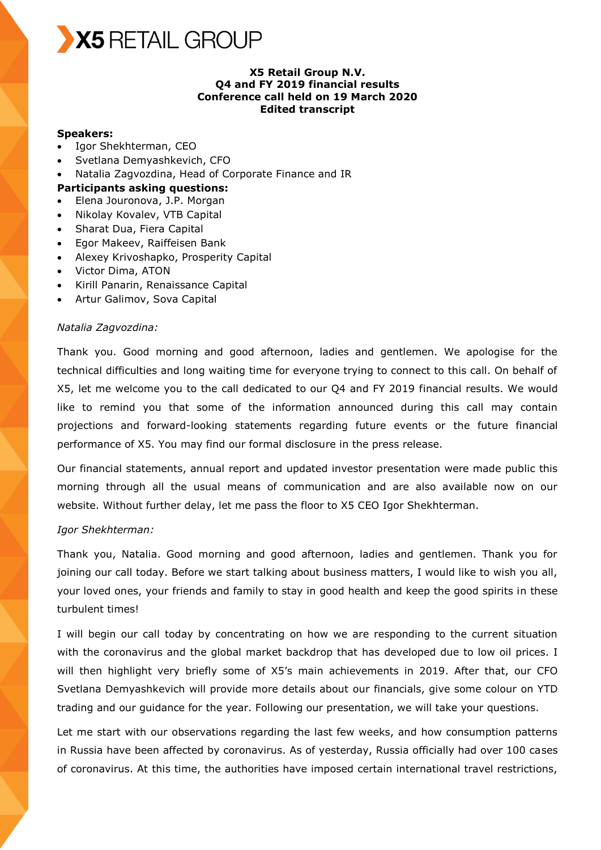

#### **X5 Retail Group N.V. Q4 and FY 2019 financial results Conference call held on 19 March 2020 Edited transcript**

#### **Speakers:**

- Igor Shekhterman, CEO
- Svetlana Demyashkevich, CFO
- Natalia Zagvozdina, Head of Corporate Finance and IR

#### **Participants asking questions:**

- Elena Jouronova, J.P. Morgan
- Nikolay Kovalev, VTB Capital
- Sharat Dua, Fiera Capital
- Egor Makeev, Raiffeisen Bank
- Alexey Krivoshapko, Prosperity Capital
- Victor Dima, ATON
- Kirill Panarin, Renaissance Capital
- Artur Galimov, Sova Capital

#### *Natalia Zagvozdina:*

Thank you. Good morning and good afternoon, ladies and gentlemen. We apologise for the technical difficulties and long waiting time for everyone trying to connect to this call. On behalf of X5, let me welcome you to the call dedicated to our Q4 and FY 2019 financial results. We would like to remind you that some of the information announced during this call may contain projections and forward-looking statements regarding future events or the future financial performance of X5. You may find our formal disclosure in the press release.

Our financial statements, annual report and updated investor presentation were made public this morning through all the usual means of communication and are also available now on our website. Without further delay, let me pass the floor to X5 CEO Igor Shekhterman.

#### *Igor Shekhterman:*

Thank you, Natalia. Good morning and good afternoon, ladies and gentlemen. Thank you for joining our call today. Before we start talking about business matters, I would like to wish you all, your loved ones, your friends and family to stay in good health and keep the good spirits in these turbulent times!

I will begin our call today by concentrating on how we are responding to the current situation with the coronavirus and the global market backdrop that has developed due to low oil prices. I will then highlight very briefly some of X5's main achievements in 2019. After that, our CFO Svetlana Demyashkevich will provide more details about our financials, give some colour on YTD trading and our guidance for the year. Following our presentation, we will take your questions.

Let me start with our observations regarding the last few weeks, and how consumption patterns in Russia have been affected by coronavirus. As of yesterday, Russia officially had over 100 cases of coronavirus. At this time, the authorities have imposed certain international travel restrictions,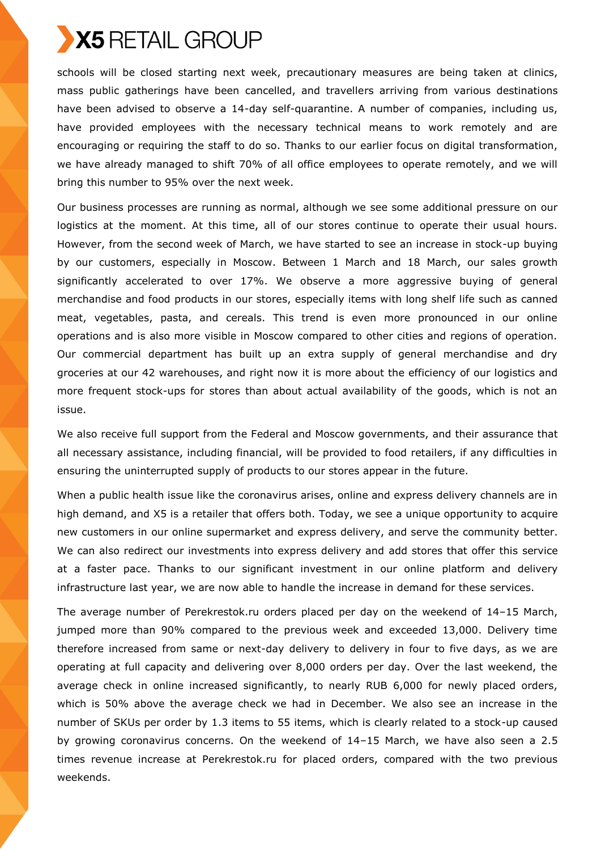schools will be closed starting next week, precautionary measures are being taken at clinics, mass public gatherings have been cancelled, and travellers arriving from various destinations have been advised to observe a 14-day self-quarantine. A number of companies, including us, have provided employees with the necessary technical means to work remotely and are encouraging or requiring the staff to do so. Thanks to our earlier focus on digital transformation, we have already managed to shift 70% of all office employees to operate remotely, and we will bring this number to 95% over the next week.

Our business processes are running as normal, although we see some additional pressure on our logistics at the moment. At this time, all of our stores continue to operate their usual hours. However, from the second week of March, we have started to see an increase in stock-up buying by our customers, especially in Moscow. Between 1 March and 18 March, our sales growth significantly accelerated to over 17%. We observe a more aggressive buying of general merchandise and food products in our stores, especially items with long shelf life such as canned meat, vegetables, pasta, and cereals. This trend is even more pronounced in our online operations and is also more visible in Moscow compared to other cities and regions of operation. Our commercial department has built up an extra supply of general merchandise and dry groceries at our 42 warehouses, and right now it is more about the efficiency of our logistics and more frequent stock-ups for stores than about actual availability of the goods, which is not an issue.

We also receive full support from the Federal and Moscow governments, and their assurance that all necessary assistance, including financial, will be provided to food retailers, if any difficulties in ensuring the uninterrupted supply of products to our stores appear in the future.

When a public health issue like the coronavirus arises, online and express delivery channels are in high demand, and X5 is a retailer that offers both. Today, we see a unique opportunity to acquire new customers in our online supermarket and express delivery, and serve the community better. We can also redirect our investments into express delivery and add stores that offer this service at a faster pace. Thanks to our significant investment in our online platform and delivery infrastructure last year, we are now able to handle the increase in demand for these services.

The average number of Perekrestok.ru orders placed per day on the weekend of 14–15 March, jumped more than 90% compared to the previous week and exceeded 13,000. Delivery time therefore increased from same or next-day delivery to delivery in four to five days, as we are operating at full capacity and delivering over 8,000 orders per day. Over the last weekend, the average check in online increased significantly, to nearly RUB 6,000 for newly placed orders, which is 50% above the average check we had in December. We also see an increase in the number of SKUs per order by 1.3 items to 55 items, which is clearly related to a stock-up caused by growing coronavirus concerns. On the weekend of 14–15 March, we have also seen a 2.5 times revenue increase at Perekrestok.ru for placed orders, compared with the two previous weekends.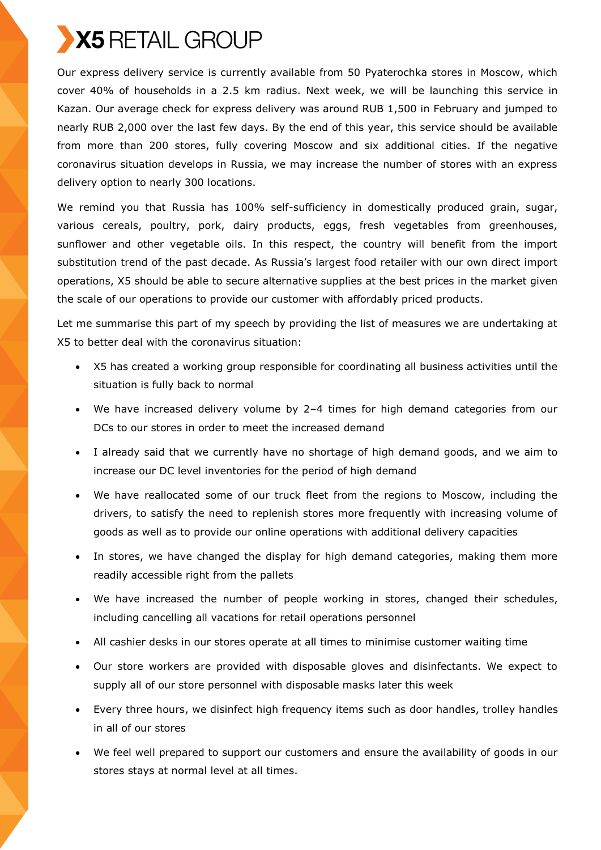

Our express delivery service is currently available from 50 Pyaterochka stores in Moscow, which cover 40% of households in a 2.5 km radius. Next week, we will be launching this service in Kazan. Our average check for express delivery was around RUB 1,500 in February and jumped to nearly RUB 2,000 over the last few days. By the end of this year, this service should be available from more than 200 stores, fully covering Moscow and six additional cities. If the negative coronavirus situation develops in Russia, we may increase the number of stores with an express delivery option to nearly 300 locations.

We remind you that Russia has 100% self-sufficiency in domestically produced grain, sugar, various cereals, poultry, pork, dairy products, eggs, fresh vegetables from greenhouses, sunflower and other vegetable oils. In this respect, the country will benefit from the import substitution trend of the past decade. As Russia's largest food retailer with our own direct import operations, X5 should be able to secure alternative supplies at the best prices in the market given the scale of our operations to provide our customer with affordably priced products.

Let me summarise this part of my speech by providing the list of measures we are undertaking at X5 to better deal with the coronavirus situation:

- X5 has created a working group responsible for coordinating all business activities until the situation is fully back to normal
- We have increased delivery volume by 2–4 times for high demand categories from our DCs to our stores in order to meet the increased demand
- I already said that we currently have no shortage of high demand goods, and we aim to increase our DC level inventories for the period of high demand
- We have reallocated some of our truck fleet from the regions to Moscow, including the drivers, to satisfy the need to replenish stores more frequently with increasing volume of goods as well as to provide our online operations with additional delivery capacities
- In stores, we have changed the display for high demand categories, making them more readily accessible right from the pallets
- We have increased the number of people working in stores, changed their schedules, including cancelling all vacations for retail operations personnel
- All cashier desks in our stores operate at all times to minimise customer waiting time
- Our store workers are provided with disposable gloves and disinfectants. We expect to supply all of our store personnel with disposable masks later this week
- Every three hours, we disinfect high frequency items such as door handles, trolley handles in all of our stores
- We feel well prepared to support our customers and ensure the availability of goods in our stores stays at normal level at all times.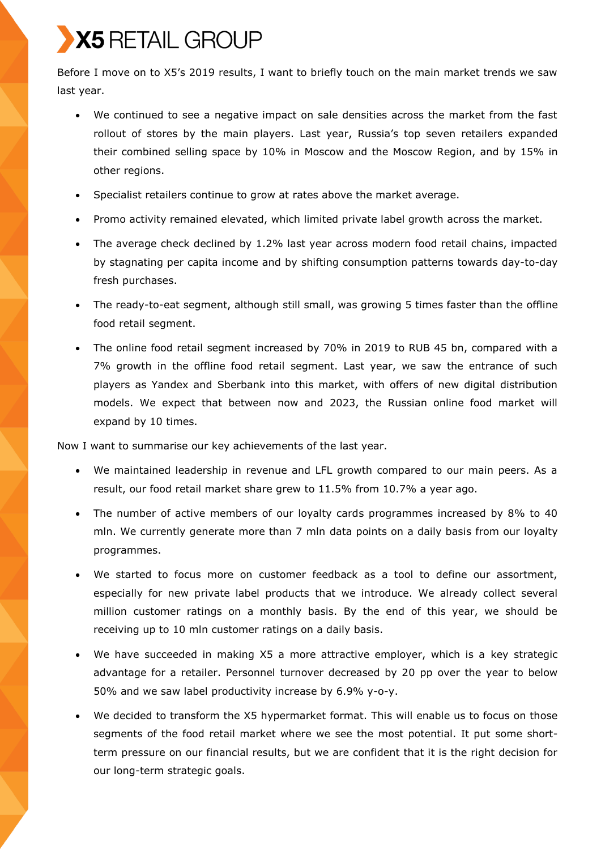Before I move on to X5's 2019 results, I want to briefly touch on the main market trends we saw last year.

- We continued to see a negative impact on sale densities across the market from the fast rollout of stores by the main players. Last year, Russia's top seven retailers expanded their combined selling space by 10% in Moscow and the Moscow Region, and by 15% in other regions.
- Specialist retailers continue to grow at rates above the market average.
- Promo activity remained elevated, which limited private label growth across the market.
- The average check declined by 1.2% last year across modern food retail chains, impacted by stagnating per capita income and by shifting consumption patterns towards day-to-day fresh purchases.
- The ready-to-eat segment, although still small, was growing 5 times faster than the offline food retail segment.
- The online food retail segment increased by 70% in 2019 to RUB 45 bn, compared with a 7% growth in the offline food retail segment. Last year, we saw the entrance of such players as Yandex and Sberbank into this market, with offers of new digital distribution models. We expect that between now and 2023, the Russian online food market will expand by 10 times.

Now I want to summarise our key achievements of the last year.

- We maintained leadership in revenue and LFL growth compared to our main peers. As a result, our food retail market share grew to 11.5% from 10.7% a year ago.
- The number of active members of our loyalty cards programmes increased by 8% to 40 mln. We currently generate more than 7 mln data points on a daily basis from our loyalty programmes.
- We started to focus more on customer feedback as a tool to define our assortment, especially for new private label products that we introduce. We already collect several million customer ratings on a monthly basis. By the end of this year, we should be receiving up to 10 mln customer ratings on a daily basis.
- We have succeeded in making X5 a more attractive employer, which is a key strategic advantage for a retailer. Personnel turnover decreased by 20 pp over the year to below 50% and we saw label productivity increase by 6.9% y-o-y.
- We decided to transform the X5 hypermarket format. This will enable us to focus on those segments of the food retail market where we see the most potential. It put some shortterm pressure on our financial results, but we are confident that it is the right decision for our long-term strategic goals.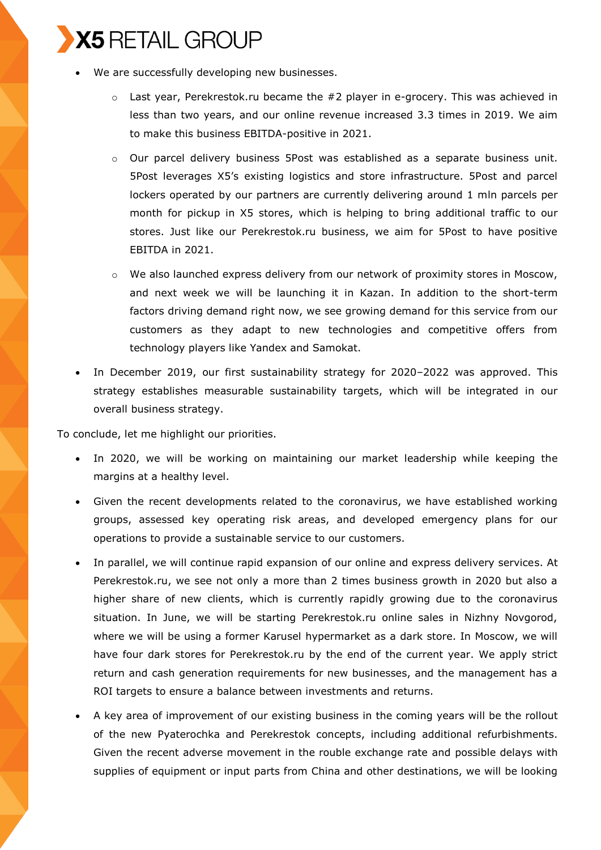- We are successfully developing new businesses.
	- o Last year, Perekrestok.ru became the #2 player in e-grocery. This was achieved in less than two years, and our online revenue increased 3.3 times in 2019. We aim to make this business EBITDA-positive in 2021.
	- o Our parcel delivery business 5Post was established as a separate business unit. 5Post leverages X5's existing logistics and store infrastructure. 5Post and parcel lockers operated by our partners are currently delivering around 1 mln parcels per month for pickup in X5 stores, which is helping to bring additional traffic to our stores. Just like our Perekrestok.ru business, we aim for 5Post to have positive EBITDA in 2021.
	- $\circ$  We also launched express delivery from our network of proximity stores in Moscow, and next week we will be launching it in Kazan. In addition to the short-term factors driving demand right now, we see growing demand for this service from our customers as they adapt to new technologies and competitive offers from technology players like Yandex and Samokat.
- In December 2019, our first sustainability strategy for 2020-2022 was approved. This strategy establishes measurable sustainability targets, which will be integrated in our overall business strategy.

To conclude, let me highlight our priorities.

- In 2020, we will be working on maintaining our market leadership while keeping the margins at a healthy level.
- Given the recent developments related to the coronavirus, we have established working groups, assessed key operating risk areas, and developed emergency plans for our operations to provide a sustainable service to our customers.
- In parallel, we will continue rapid expansion of our online and express delivery services. At Perekrestok.ru, we see not only a more than 2 times business growth in 2020 but also a higher share of new clients, which is currently rapidly growing due to the coronavirus situation. In June, we will be starting Perekrestok.ru online sales in Nizhny Novgorod, where we will be using a former Karusel hypermarket as a dark store. In Moscow, we will have four dark stores for Perekrestok.ru by the end of the current year. We apply strict return and cash generation requirements for new businesses, and the management has a ROI targets to ensure a balance between investments and returns.
- A key area of improvement of our existing business in the coming years will be the rollout of the new Pyaterochka and Perekrestok concepts, including additional refurbishments. Given the recent adverse movement in the rouble exchange rate and possible delays with supplies of equipment or input parts from China and other destinations, we will be looking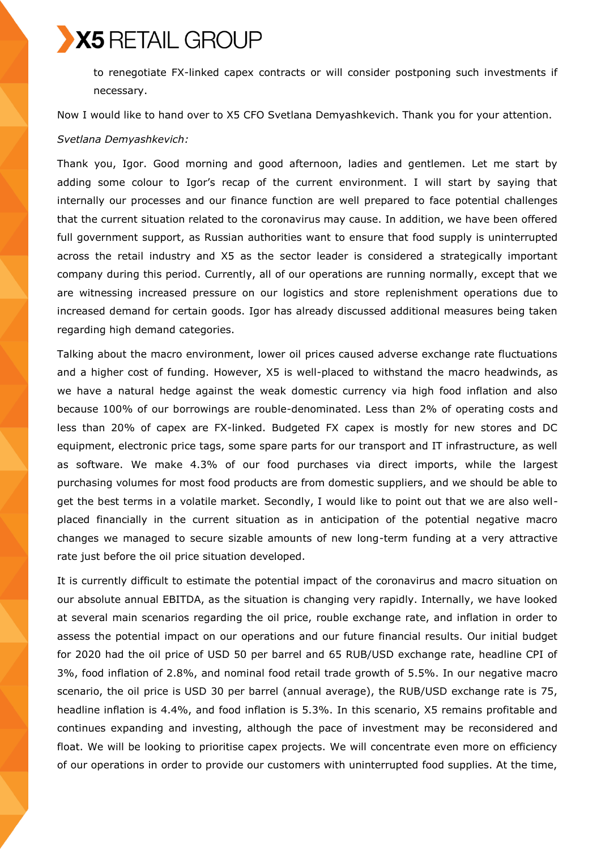to renegotiate FX-linked capex contracts or will consider postponing such investments if necessary.

Now I would like to hand over to X5 CFO Svetlana Demyashkevich. Thank you for your attention.

#### *Svetlana Demyashkevich:*

Thank you, Igor. Good morning and good afternoon, ladies and gentlemen. Let me start by adding some colour to Igor's recap of the current environment. I will start by saying that internally our processes and our finance function are well prepared to face potential challenges that the current situation related to the coronavirus may cause. In addition, we have been offered full government support, as Russian authorities want to ensure that food supply is uninterrupted across the retail industry and X5 as the sector leader is considered a strategically important company during this period. Currently, all of our operations are running normally, except that we are witnessing increased pressure on our logistics and store replenishment operations due to increased demand for certain goods. Igor has already discussed additional measures being taken regarding high demand categories.

Talking about the macro environment, lower oil prices caused adverse exchange rate fluctuations and a higher cost of funding. However, X5 is well-placed to withstand the macro headwinds, as we have a natural hedge against the weak domestic currency via high food inflation and also because 100% of our borrowings are rouble-denominated. Less than 2% of operating costs and less than 20% of capex are FX-linked. Budgeted FX capex is mostly for new stores and DC equipment, electronic price tags, some spare parts for our transport and IT infrastructure, as well as software. We make 4.3% of our food purchases via direct imports, while the largest purchasing volumes for most food products are from domestic suppliers, and we should be able to get the best terms in a volatile market. Secondly, I would like to point out that we are also wellplaced financially in the current situation as in anticipation of the potential negative macro changes we managed to secure sizable amounts of new long-term funding at a very attractive rate just before the oil price situation developed.

It is currently difficult to estimate the potential impact of the coronavirus and macro situation on our absolute annual EBITDA, as the situation is changing very rapidly. Internally, we have looked at several main scenarios regarding the oil price, rouble exchange rate, and inflation in order to assess the potential impact on our operations and our future financial results. Our initial budget for 2020 had the oil price of USD 50 per barrel and 65 RUB/USD exchange rate, headline CPI of 3%, food inflation of 2.8%, and nominal food retail trade growth of 5.5%. In our negative macro scenario, the oil price is USD 30 per barrel (annual average), the RUB/USD exchange rate is 75, headline inflation is 4.4%, and food inflation is 5.3%. In this scenario, X5 remains profitable and continues expanding and investing, although the pace of investment may be reconsidered and float. We will be looking to prioritise capex projects. We will concentrate even more on efficiency of our operations in order to provide our customers with uninterrupted food supplies. At the time,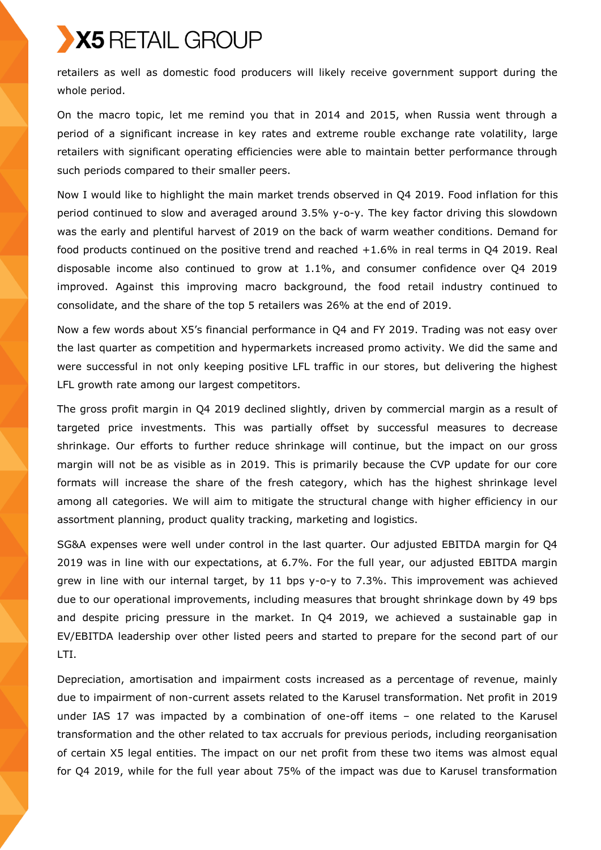retailers as well as domestic food producers will likely receive government support during the whole period.

On the macro topic, let me remind you that in 2014 and 2015, when Russia went through a period of a significant increase in key rates and extreme rouble exchange rate volatility, large retailers with significant operating efficiencies were able to maintain better performance through such periods compared to their smaller peers.

Now I would like to highlight the main market trends observed in Q4 2019. Food inflation for this period continued to slow and averaged around 3.5% y-o-y. The key factor driving this slowdown was the early and plentiful harvest of 2019 on the back of warm weather conditions. Demand for food products continued on the positive trend and reached +1.6% in real terms in Q4 2019. Real disposable income also continued to grow at 1.1%, and consumer confidence over Q4 2019 improved. Against this improving macro background, the food retail industry continued to consolidate, and the share of the top 5 retailers was 26% at the end of 2019.

Now a few words about X5's financial performance in Q4 and FY 2019. Trading was not easy over the last quarter as competition and hypermarkets increased promo activity. We did the same and were successful in not only keeping positive LFL traffic in our stores, but delivering the highest LFL growth rate among our largest competitors.

The gross profit margin in Q4 2019 declined slightly, driven by commercial margin as a result of targeted price investments. This was partially offset by successful measures to decrease shrinkage. Our efforts to further reduce shrinkage will continue, but the impact on our gross margin will not be as visible as in 2019. This is primarily because the CVP update for our core formats will increase the share of the fresh category, which has the highest shrinkage level among all categories. We will aim to mitigate the structural change with higher efficiency in our assortment planning, product quality tracking, marketing and logistics.

SG&A expenses were well under control in the last quarter. Our adjusted EBITDA margin for Q4 2019 was in line with our expectations, at 6.7%. For the full year, our adjusted EBITDA margin grew in line with our internal target, by 11 bps y-o-y to 7.3%. This improvement was achieved due to our operational improvements, including measures that brought shrinkage down by 49 bps and despite pricing pressure in the market. In Q4 2019, we achieved a sustainable gap in EV/EBITDA leadership over other listed peers and started to prepare for the second part of our LTI.

Depreciation, amortisation and impairment costs increased as a percentage of revenue, mainly due to impairment of non-current assets related to the Karusel transformation. Net profit in 2019 under IAS 17 was impacted by a combination of one-off items – one related to the Karusel transformation and the other related to tax accruals for previous periods, including reorganisation of certain X5 legal entities. The impact on our net profit from these two items was almost equal for Q4 2019, while for the full year about 75% of the impact was due to Karusel transformation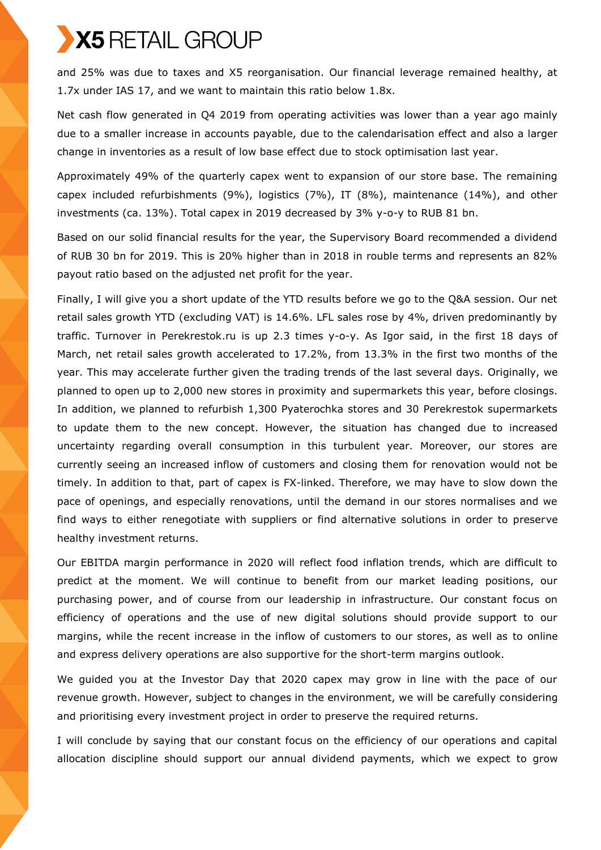and 25% was due to taxes and X5 reorganisation. Our financial leverage remained healthy, at 1.7x under IAS 17, and we want to maintain this ratio below 1.8x.

Net cash flow generated in Q4 2019 from operating activities was lower than a year ago mainly due to a smaller increase in accounts payable, due to the calendarisation effect and also a larger change in inventories as a result of low base effect due to stock optimisation last year.

Approximately 49% of the quarterly capex went to expansion of our store base. The remaining capex included refurbishments (9%), logistics (7%), IT (8%), maintenance (14%), and other investments (ca. 13%). Total capex in 2019 decreased by 3% y-o-y to RUB 81 bn.

Based on our solid financial results for the year, the Supervisory Board recommended a dividend of RUB 30 bn for 2019. This is 20% higher than in 2018 in rouble terms and represents an 82% payout ratio based on the adjusted net profit for the year.

Finally, I will give you a short update of the YTD results before we go to the Q&A session. Our net retail sales growth YTD (excluding VAT) is 14.6%. LFL sales rose by 4%, driven predominantly by traffic. Turnover in Perekrestok.ru is up 2.3 times y-o-y. As Igor said, in the first 18 days of March, net retail sales growth accelerated to 17.2%, from 13.3% in the first two months of the year. This may accelerate further given the trading trends of the last several days. Originally, we planned to open up to 2,000 new stores in proximity and supermarkets this year, before closings. In addition, we planned to refurbish 1,300 Pyaterochka stores and 30 Perekrestok supermarkets to update them to the new concept. However, the situation has changed due to increased uncertainty regarding overall consumption in this turbulent year. Moreover, our stores are currently seeing an increased inflow of customers and closing them for renovation would not be timely. In addition to that, part of capex is FX-linked. Therefore, we may have to slow down the pace of openings, and especially renovations, until the demand in our stores normalises and we find ways to either renegotiate with suppliers or find alternative solutions in order to preserve healthy investment returns.

Our EBITDA margin performance in 2020 will reflect food inflation trends, which are difficult to predict at the moment. We will continue to benefit from our market leading positions, our purchasing power, and of course from our leadership in infrastructure. Our constant focus on efficiency of operations and the use of new digital solutions should provide support to our margins, while the recent increase in the inflow of customers to our stores, as well as to online and express delivery operations are also supportive for the short-term margins outlook.

We guided you at the Investor Day that 2020 capex may grow in line with the pace of our revenue growth. However, subject to changes in the environment, we will be carefully considering and prioritising every investment project in order to preserve the required returns.

I will conclude by saying that our constant focus on the efficiency of our operations and capital allocation discipline should support our annual dividend payments, which we expect to grow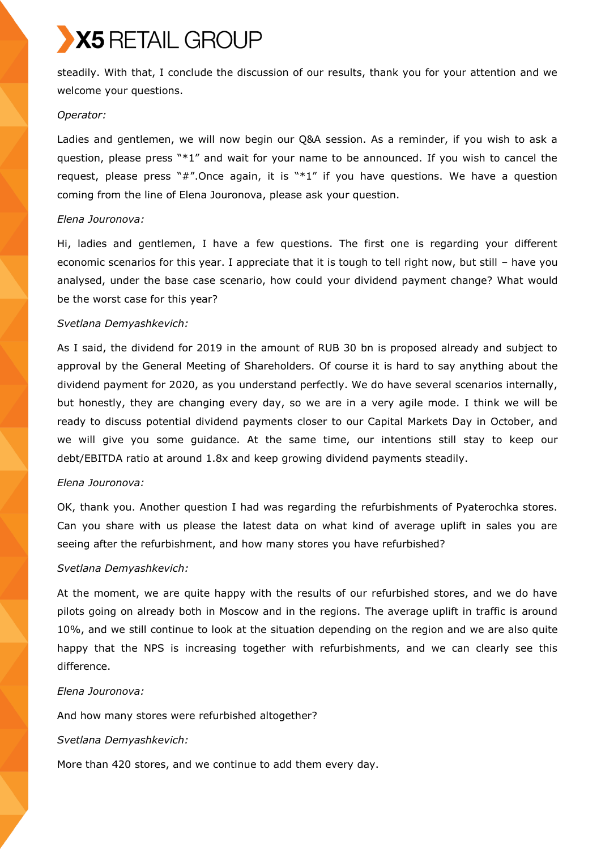steadily. With that, I conclude the discussion of our results, thank you for your attention and we welcome your questions.

#### *Operator:*

Ladies and gentlemen, we will now begin our Q&A session. As a reminder, if you wish to ask a question, please press "\*1" and wait for your name to be announced. If you wish to cancel the request, please press " $#$ ". Once again, it is " $*1"$  if you have questions. We have a question coming from the line of Elena Jouronova, please ask your question.

#### *Elena Jouronova:*

Hi, ladies and gentlemen, I have a few questions. The first one is regarding your different economic scenarios for this year. I appreciate that it is tough to tell right now, but still – have you analysed, under the base case scenario, how could your dividend payment change? What would be the worst case for this year?

#### *Svetlana Demyashkevich:*

As I said, the dividend for 2019 in the amount of RUB 30 bn is proposed already and subject to approval by the General Meeting of Shareholders. Of course it is hard to say anything about the dividend payment for 2020, as you understand perfectly. We do have several scenarios internally, but honestly, they are changing every day, so we are in a very agile mode. I think we will be ready to discuss potential dividend payments closer to our Capital Markets Day in October, and we will give you some guidance. At the same time, our intentions still stay to keep our debt/EBITDA ratio at around 1.8x and keep growing dividend payments steadily.

#### *Elena Jouronova:*

OK, thank you. Another question I had was regarding the refurbishments of Pyaterochka stores. Can you share with us please the latest data on what kind of average uplift in sales you are seeing after the refurbishment, and how many stores you have refurbished?

#### *Svetlana Demyashkevich:*

At the moment, we are quite happy with the results of our refurbished stores, and we do have pilots going on already both in Moscow and in the regions. The average uplift in traffic is around 10%, and we still continue to look at the situation depending on the region and we are also quite happy that the NPS is increasing together with refurbishments, and we can clearly see this difference.

#### *Elena Jouronova:*

And how many stores were refurbished altogether?

#### *Svetlana Demyashkevich:*

More than 420 stores, and we continue to add them every day.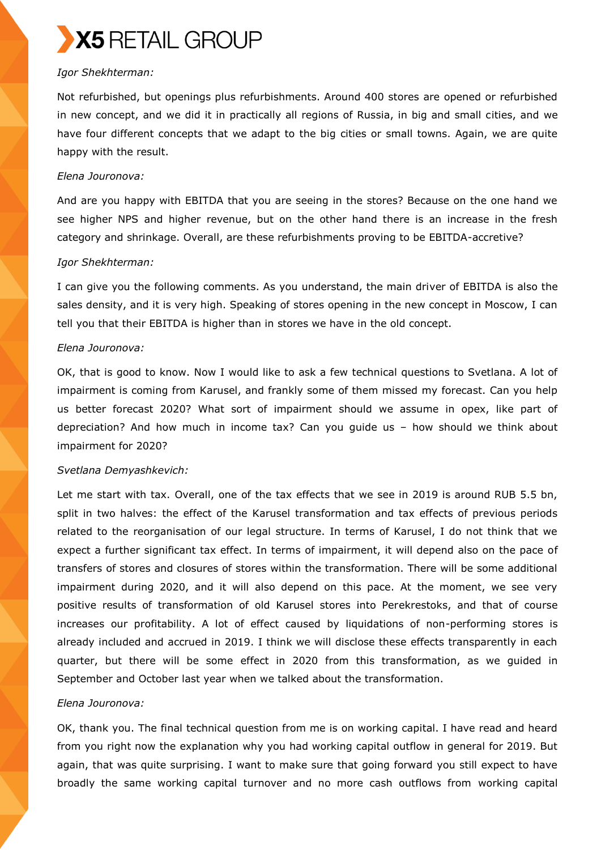

### *Igor Shekhterman:*

Not refurbished, but openings plus refurbishments. Around 400 stores are opened or refurbished in new concept, and we did it in practically all regions of Russia, in big and small cities, and we have four different concepts that we adapt to the big cities or small towns. Again, we are quite happy with the result.

#### *Elena Jouronova:*

And are you happy with EBITDA that you are seeing in the stores? Because on the one hand we see higher NPS and higher revenue, but on the other hand there is an increase in the fresh category and shrinkage. Overall, are these refurbishments proving to be EBITDA-accretive?

#### *Igor Shekhterman:*

I can give you the following comments. As you understand, the main driver of EBITDA is also the sales density, and it is very high. Speaking of stores opening in the new concept in Moscow, I can tell you that their EBITDA is higher than in stores we have in the old concept.

#### *Elena Jouronova:*

OK, that is good to know. Now I would like to ask a few technical questions to Svetlana. A lot of impairment is coming from Karusel, and frankly some of them missed my forecast. Can you help us better forecast 2020? What sort of impairment should we assume in opex, like part of depreciation? And how much in income tax? Can you guide us – how should we think about impairment for 2020?

#### *Svetlana Demyashkevich:*

Let me start with tax. Overall, one of the tax effects that we see in 2019 is around RUB 5.5 bn, split in two halves: the effect of the Karusel transformation and tax effects of previous periods related to the reorganisation of our legal structure. In terms of Karusel, I do not think that we expect a further significant tax effect. In terms of impairment, it will depend also on the pace of transfers of stores and closures of stores within the transformation. There will be some additional impairment during 2020, and it will also depend on this pace. At the moment, we see very positive results of transformation of old Karusel stores into Perekrestoks, and that of course increases our profitability. A lot of effect caused by liquidations of non-performing stores is already included and accrued in 2019. I think we will disclose these effects transparently in each quarter, but there will be some effect in 2020 from this transformation, as we guided in September and October last year when we talked about the transformation.

## *Elena Jouronova:*

OK, thank you. The final technical question from me is on working capital. I have read and heard from you right now the explanation why you had working capital outflow in general for 2019. But again, that was quite surprising. I want to make sure that going forward you still expect to have broadly the same working capital turnover and no more cash outflows from working capital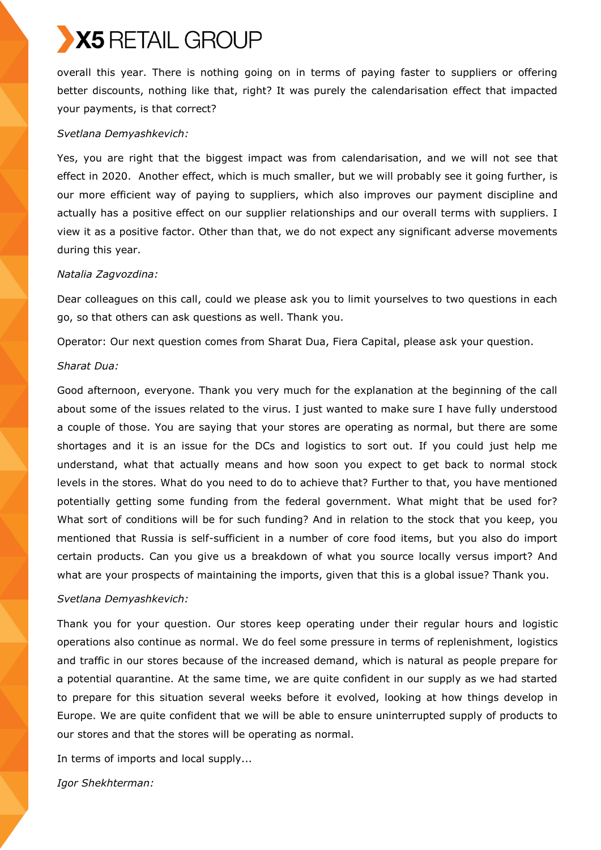overall this year. There is nothing going on in terms of paying faster to suppliers or offering better discounts, nothing like that, right? It was purely the calendarisation effect that impacted your payments, is that correct?

#### *Svetlana Demyashkevich:*

Yes, you are right that the biggest impact was from calendarisation, and we will not see that effect in 2020. Another effect, which is much smaller, but we will probably see it going further, is our more efficient way of paying to suppliers, which also improves our payment discipline and actually has a positive effect on our supplier relationships and our overall terms with suppliers. I view it as a positive factor. Other than that, we do not expect any significant adverse movements during this year.

#### *Natalia Zagvozdina:*

Dear colleagues on this call, could we please ask you to limit yourselves to two questions in each go, so that others can ask questions as well. Thank you.

Operator: Our next question comes from Sharat Dua, Fiera Capital, please ask your question.

#### *Sharat Dua:*

Good afternoon, everyone. Thank you very much for the explanation at the beginning of the call about some of the issues related to the virus. I just wanted to make sure I have fully understood a couple of those. You are saying that your stores are operating as normal, but there are some shortages and it is an issue for the DCs and logistics to sort out. If you could just help me understand, what that actually means and how soon you expect to get back to normal stock levels in the stores. What do you need to do to achieve that? Further to that, you have mentioned potentially getting some funding from the federal government. What might that be used for? What sort of conditions will be for such funding? And in relation to the stock that you keep, you mentioned that Russia is self-sufficient in a number of core food items, but you also do import certain products. Can you give us a breakdown of what you source locally versus import? And what are your prospects of maintaining the imports, given that this is a global issue? Thank you.

#### *Svetlana Demyashkevich:*

Thank you for your question. Our stores keep operating under their regular hours and logistic operations also continue as normal. We do feel some pressure in terms of replenishment, logistics and traffic in our stores because of the increased demand, which is natural as people prepare for a potential quarantine. At the same time, we are quite confident in our supply as we had started to prepare for this situation several weeks before it evolved, looking at how things develop in Europe. We are quite confident that we will be able to ensure uninterrupted supply of products to our stores and that the stores will be operating as normal.

In terms of imports and local supply...

*Igor Shekhterman:*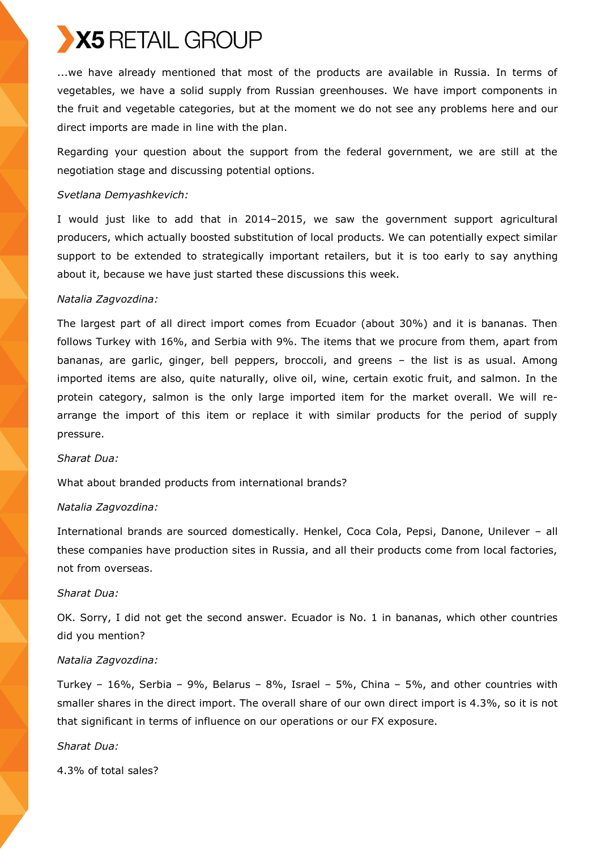...we have already mentioned that most of the products are available in Russia. In terms of vegetables, we have a solid supply from Russian greenhouses. We have import components in the fruit and vegetable categories, but at the moment we do not see any problems here and our direct imports are made in line with the plan.

Regarding your question about the support from the federal government, we are still at the negotiation stage and discussing potential options.

#### *Svetlana Demyashkevich:*

I would just like to add that in 2014–2015, we saw the government support agricultural producers, which actually boosted substitution of local products. We can potentially expect similar support to be extended to strategically important retailers, but it is too early to say anything about it, because we have just started these discussions this week.

## *Natalia Zagvozdina:*

The largest part of all direct import comes from Ecuador (about 30%) and it is bananas. Then follows Turkey with 16%, and Serbia with 9%. The items that we procure from them, apart from bananas, are garlic, ginger, bell peppers, broccoli, and greens – the list is as usual. Among imported items are also, quite naturally, olive oil, wine, certain exotic fruit, and salmon. In the protein category, salmon is the only large imported item for the market overall. We will rearrange the import of this item or replace it with similar products for the period of supply pressure.

#### *Sharat Dua:*

What about branded products from international brands?

## *Natalia Zagvozdina:*

International brands are sourced domestically. Henkel, Coca Cola, Pepsi, Danone, Unilever – all these companies have production sites in Russia, and all their products come from local factories, not from overseas.

#### *Sharat Dua:*

OK. Sorry, I did not get the second answer. Ecuador is No. 1 in bananas, which other countries did you mention?

#### *Natalia Zagvozdina:*

Turkey – 16%, Serbia – 9%, Belarus – 8%, Israel – 5%, China – 5%, and other countries with smaller shares in the direct import. The overall share of our own direct import is 4.3%, so it is not that significant in terms of influence on our operations or our FX exposure.

## *Sharat Dua:*

4.3% of total sales?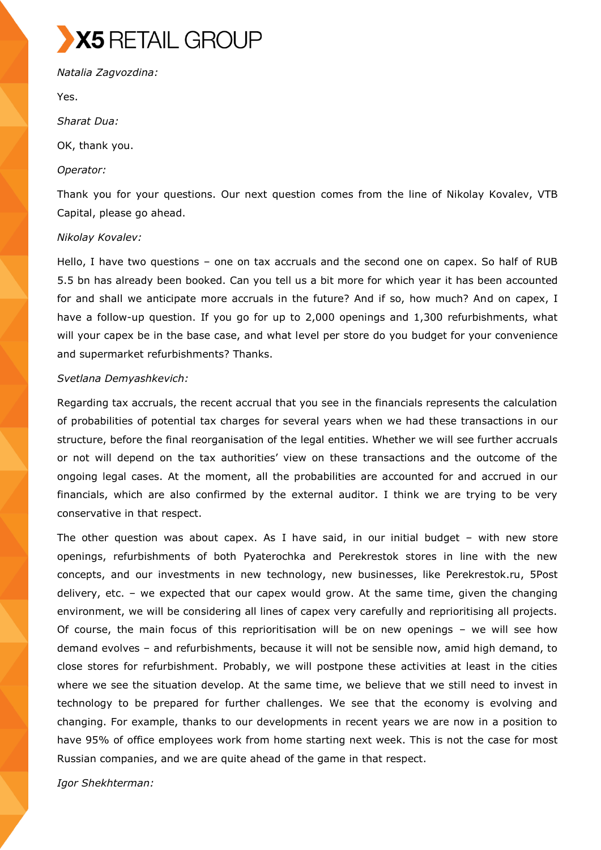*Natalia Zagvozdina:* 

Yes.

*Sharat Dua:* 

OK, thank you.

### *Operator:*

Thank you for your questions. Our next question comes from the line of Nikolay Kovalev, VTB Capital, please go ahead.

### *Nikolay Kovalev:*

Hello, I have two questions – one on tax accruals and the second one on capex. So half of RUB 5.5 bn has already been booked. Can you tell us a bit more for which year it has been accounted for and shall we anticipate more accruals in the future? And if so, how much? And on capex, I have a follow-up question. If you go for up to 2,000 openings and 1,300 refurbishments, what will your capex be in the base case, and what level per store do you budget for your convenience and supermarket refurbishments? Thanks.

## *Svetlana Demyashkevich:*

Regarding tax accruals, the recent accrual that you see in the financials represents the calculation of probabilities of potential tax charges for several years when we had these transactions in our structure, before the final reorganisation of the legal entities. Whether we will see further accruals or not will depend on the tax authorities' view on these transactions and the outcome of the ongoing legal cases. At the moment, all the probabilities are accounted for and accrued in our financials, which are also confirmed by the external auditor. I think we are trying to be very conservative in that respect.

The other question was about capex. As I have said, in our initial budget – with new store openings, refurbishments of both Pyaterochka and Perekrestok stores in line with the new concepts, and our investments in new technology, new businesses, like Perekrestok.ru, 5Post delivery, etc. – we expected that our capex would grow. At the same time, given the changing environment, we will be considering all lines of capex very carefully and reprioritising all projects. Of course, the main focus of this reprioritisation will be on new openings – we will see how demand evolves – and refurbishments, because it will not be sensible now, amid high demand, to close stores for refurbishment. Probably, we will postpone these activities at least in the cities where we see the situation develop. At the same time, we believe that we still need to invest in technology to be prepared for further challenges. We see that the economy is evolving and changing. For example, thanks to our developments in recent years we are now in a position to have 95% of office employees work from home starting next week. This is not the case for most Russian companies, and we are quite ahead of the game in that respect.

*Igor Shekhterman:*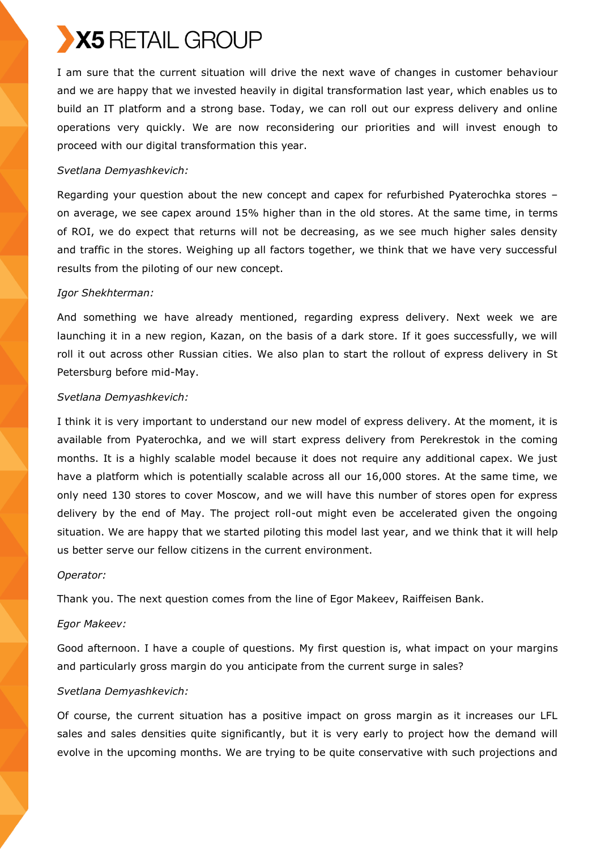I am sure that the current situation will drive the next wave of changes in customer behaviour and we are happy that we invested heavily in digital transformation last year, which enables us to build an IT platform and a strong base. Today, we can roll out our express delivery and online operations very quickly. We are now reconsidering our priorities and will invest enough to proceed with our digital transformation this year.

## *Svetlana Demyashkevich:*

Regarding your question about the new concept and capex for refurbished Pyaterochka stores – on average, we see capex around 15% higher than in the old stores. At the same time, in terms of ROI, we do expect that returns will not be decreasing, as we see much higher sales density and traffic in the stores. Weighing up all factors together, we think that we have very successful results from the piloting of our new concept.

### *Igor Shekhterman:*

And something we have already mentioned, regarding express delivery. Next week we are launching it in a new region, Kazan, on the basis of a dark store. If it goes successfully, we will roll it out across other Russian cities. We also plan to start the rollout of express delivery in St Petersburg before mid-May.

### *Svetlana Demyashkevich:*

I think it is very important to understand our new model of express delivery. At the moment, it is available from Pyaterochka, and we will start express delivery from Perekrestok in the coming months. It is a highly scalable model because it does not require any additional capex. We just have a platform which is potentially scalable across all our 16,000 stores. At the same time, we only need 130 stores to cover Moscow, and we will have this number of stores open for express delivery by the end of May. The project roll-out might even be accelerated given the ongoing situation. We are happy that we started piloting this model last year, and we think that it will help us better serve our fellow citizens in the current environment.

## *Operator:*

Thank you. The next question comes from the line of Egor Makeev, Raiffeisen Bank.

## *Egor Makeev:*

Good afternoon. I have a couple of questions. My first question is, what impact on your margins and particularly gross margin do you anticipate from the current surge in sales?

## *Svetlana Demyashkevich:*

Of course, the current situation has a positive impact on gross margin as it increases our LFL sales and sales densities quite significantly, but it is very early to project how the demand will evolve in the upcoming months. We are trying to be quite conservative with such projections and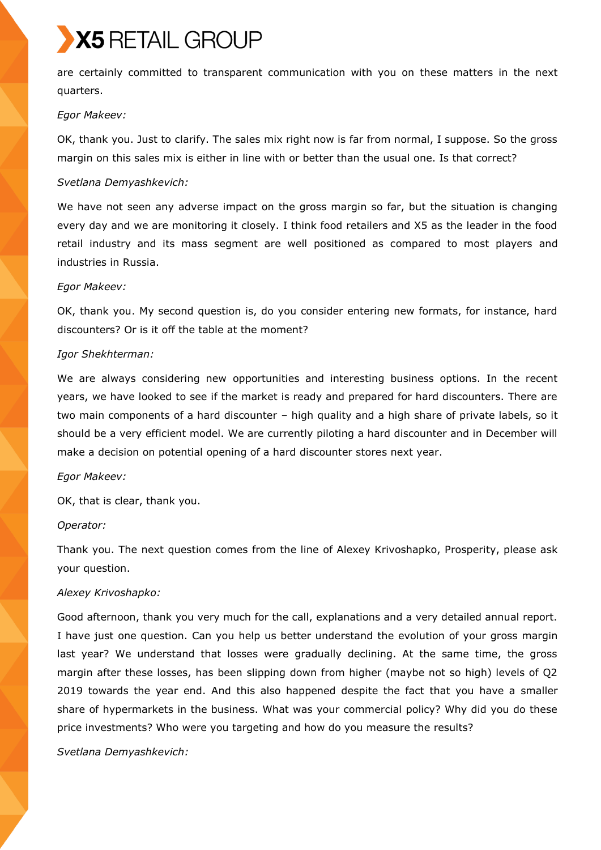are certainly committed to transparent communication with you on these matters in the next quarters.

### *Egor Makeev:*

OK, thank you. Just to clarify. The sales mix right now is far from normal, I suppose. So the gross margin on this sales mix is either in line with or better than the usual one. Is that correct?

### *Svetlana Demyashkevich:*

We have not seen any adverse impact on the gross margin so far, but the situation is changing every day and we are monitoring it closely. I think food retailers and X5 as the leader in the food retail industry and its mass segment are well positioned as compared to most players and industries in Russia.

### *Egor Makeev:*

OK, thank you. My second question is, do you consider entering new formats, for instance, hard discounters? Or is it off the table at the moment?

## *Igor Shekhterman:*

We are always considering new opportunities and interesting business options. In the recent years, we have looked to see if the market is ready and prepared for hard discounters. There are two main components of a hard discounter – high quality and a high share of private labels, so it should be a very efficient model. We are currently piloting a hard discounter and in December will make a decision on potential opening of a hard discounter stores next year.

## *Egor Makeev:*

OK, that is clear, thank you.

## *Operator:*

Thank you. The next question comes from the line of Alexey Krivoshapko, Prosperity, please ask your question.

## *Alexey Krivoshapko:*

Good afternoon, thank you very much for the call, explanations and a very detailed annual report. I have just one question. Can you help us better understand the evolution of your gross margin last year? We understand that losses were gradually declining. At the same time, the gross margin after these losses, has been slipping down from higher (maybe not so high) levels of Q2 2019 towards the year end. And this also happened despite the fact that you have a smaller share of hypermarkets in the business. What was your commercial policy? Why did you do these price investments? Who were you targeting and how do you measure the results?

*Svetlana Demyashkevich:*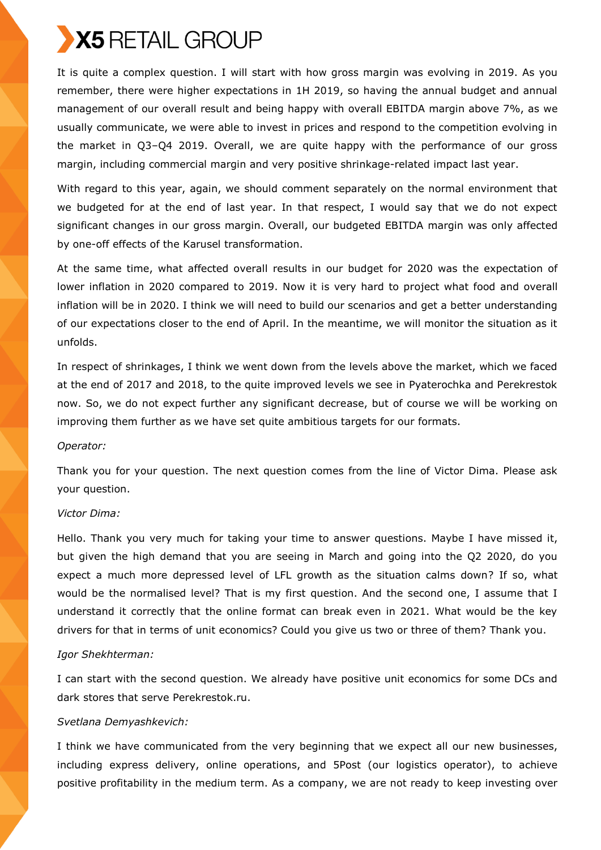It is quite a complex question. I will start with how gross margin was evolving in 2019. As you remember, there were higher expectations in 1H 2019, so having the annual budget and annual management of our overall result and being happy with overall EBITDA margin above 7%, as we usually communicate, we were able to invest in prices and respond to the competition evolving in the market in Q3–Q4 2019. Overall, we are quite happy with the performance of our gross margin, including commercial margin and very positive shrinkage-related impact last year.

With regard to this year, again, we should comment separately on the normal environment that we budgeted for at the end of last year. In that respect, I would say that we do not expect significant changes in our gross margin. Overall, our budgeted EBITDA margin was only affected by one-off effects of the Karusel transformation.

At the same time, what affected overall results in our budget for 2020 was the expectation of lower inflation in 2020 compared to 2019. Now it is very hard to project what food and overall inflation will be in 2020. I think we will need to build our scenarios and get a better understanding of our expectations closer to the end of April. In the meantime, we will monitor the situation as it unfolds.

In respect of shrinkages, I think we went down from the levels above the market, which we faced at the end of 2017 and 2018, to the quite improved levels we see in Pyaterochka and Perekrestok now. So, we do not expect further any significant decrease, but of course we will be working on improving them further as we have set quite ambitious targets for our formats.

#### *Operator:*

Thank you for your question. The next question comes from the line of Victor Dima. Please ask your question.

#### *Victor Dima:*

Hello. Thank you very much for taking your time to answer questions. Maybe I have missed it, but given the high demand that you are seeing in March and going into the Q2 2020, do you expect a much more depressed level of LFL growth as the situation calms down? If so, what would be the normalised level? That is my first question. And the second one, I assume that I understand it correctly that the online format can break even in 2021. What would be the key drivers for that in terms of unit economics? Could you give us two or three of them? Thank you.

#### *Igor Shekhterman:*

I can start with the second question. We already have positive unit economics for some DCs and dark stores that serve Perekrestok.ru.

## *Svetlana Demyashkevich:*

I think we have communicated from the very beginning that we expect all our new businesses, including express delivery, online operations, and 5Post (our logistics operator), to achieve positive profitability in the medium term. As a company, we are not ready to keep investing over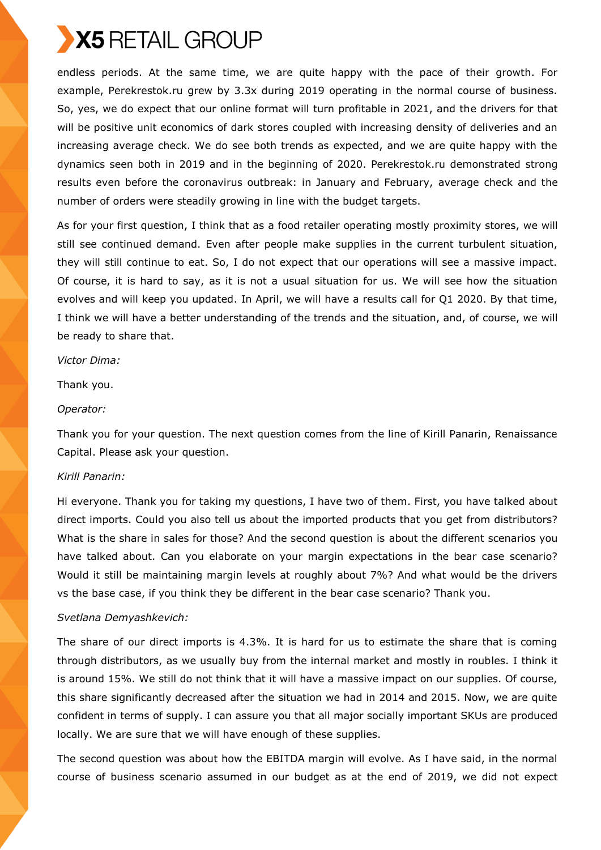endless periods. At the same time, we are quite happy with the pace of their growth. For example, Perekrestok.ru grew by 3.3x during 2019 operating in the normal course of business. So, yes, we do expect that our online format will turn profitable in 2021, and the drivers for that will be positive unit economics of dark stores coupled with increasing density of deliveries and an increasing average check. We do see both trends as expected, and we are quite happy with the dynamics seen both in 2019 and in the beginning of 2020. Perekrestok.ru demonstrated strong results even before the coronavirus outbreak: in January and February, average check and the number of orders were steadily growing in line with the budget targets.

As for your first question, I think that as a food retailer operating mostly proximity stores, we will still see continued demand. Even after people make supplies in the current turbulent situation, they will still continue to eat. So, I do not expect that our operations will see a massive impact. Of course, it is hard to say, as it is not a usual situation for us. We will see how the situation evolves and will keep you updated. In April, we will have a results call for Q1 2020. By that time, I think we will have a better understanding of the trends and the situation, and, of course, we will be ready to share that.

#### *Victor Dima:*

Thank you.

### *Operator:*

Thank you for your question. The next question comes from the line of Kirill Panarin, Renaissance Capital. Please ask your question.

## *Kirill Panarin:*

Hi everyone. Thank you for taking my questions, I have two of them. First, you have talked about direct imports. Could you also tell us about the imported products that you get from distributors? What is the share in sales for those? And the second question is about the different scenarios you have talked about. Can you elaborate on your margin expectations in the bear case scenario? Would it still be maintaining margin levels at roughly about 7%? And what would be the drivers vs the base case, if you think they be different in the bear case scenario? Thank you.

## *Svetlana Demyashkevich:*

The share of our direct imports is 4.3%. It is hard for us to estimate the share that is coming through distributors, as we usually buy from the internal market and mostly in roubles. I think it is around 15%. We still do not think that it will have a massive impact on our supplies. Of course, this share significantly decreased after the situation we had in 2014 and 2015. Now, we are quite confident in terms of supply. I can assure you that all major socially important SKUs are produced locally. We are sure that we will have enough of these supplies.

The second question was about how the EBITDA margin will evolve. As I have said, in the normal course of business scenario assumed in our budget as at the end of 2019, we did not expect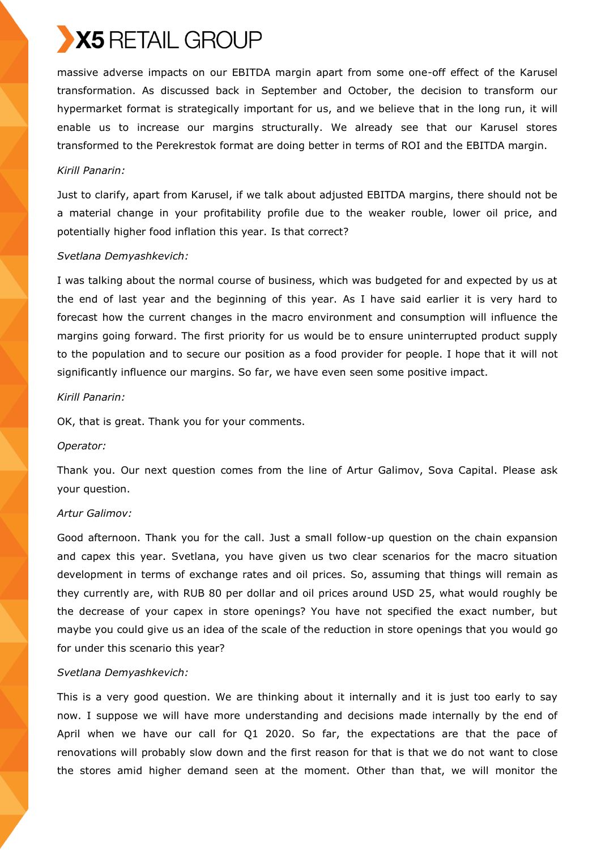massive adverse impacts on our EBITDA margin apart from some one-off effect of the Karusel transformation. As discussed back in September and October, the decision to transform our hypermarket format is strategically important for us, and we believe that in the long run, it will enable us to increase our margins structurally. We already see that our Karusel stores transformed to the Perekrestok format are doing better in terms of ROI and the EBITDA margin.

### *Kirill Panarin:*

Just to clarify, apart from Karusel, if we talk about adjusted EBITDA margins, there should not be a material change in your profitability profile due to the weaker rouble, lower oil price, and potentially higher food inflation this year. Is that correct?

### *Svetlana Demyashkevich:*

I was talking about the normal course of business, which was budgeted for and expected by us at the end of last year and the beginning of this year. As I have said earlier it is very hard to forecast how the current changes in the macro environment and consumption will influence the margins going forward. The first priority for us would be to ensure uninterrupted product supply to the population and to secure our position as a food provider for people. I hope that it will not significantly influence our margins. So far, we have even seen some positive impact.

### *Kirill Panarin:*

OK, that is great. Thank you for your comments.

#### *Operator:*

Thank you. Our next question comes from the line of Artur Galimov, Sova Capital. Please ask your question.

#### *Artur Galimov:*

Good afternoon. Thank you for the call. Just a small follow-up question on the chain expansion and capex this year. Svetlana, you have given us two clear scenarios for the macro situation development in terms of exchange rates and oil prices. So, assuming that things will remain as they currently are, with RUB 80 per dollar and oil prices around USD 25, what would roughly be the decrease of your capex in store openings? You have not specified the exact number, but maybe you could give us an idea of the scale of the reduction in store openings that you would go for under this scenario this year?

## *Svetlana Demyashkevich:*

This is a very good question. We are thinking about it internally and it is just too early to say now. I suppose we will have more understanding and decisions made internally by the end of April when we have our call for Q1 2020. So far, the expectations are that the pace of renovations will probably slow down and the first reason for that is that we do not want to close the stores amid higher demand seen at the moment. Other than that, we will monitor the